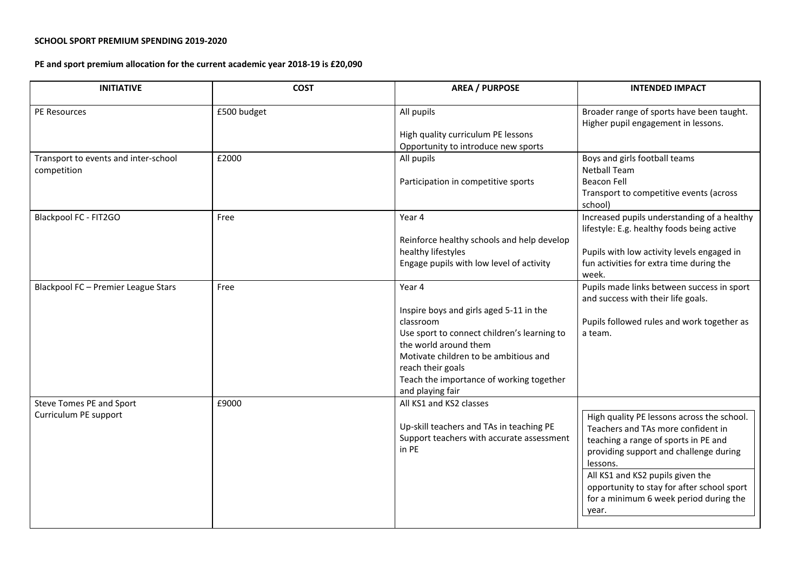## **SCHOOL SPORT PREMIUM SPENDING 2019-2020**

**PE and sport premium allocation for the current academic year 2018-19 is £20,090**

| <b>INITIATIVE</b>                                   | <b>COST</b> | <b>AREA / PURPOSE</b>                                                                                                                                                                                                                                                | <b>INTENDED IMPACT</b>                                                                                                                                                                                                                                                                                              |
|-----------------------------------------------------|-------------|----------------------------------------------------------------------------------------------------------------------------------------------------------------------------------------------------------------------------------------------------------------------|---------------------------------------------------------------------------------------------------------------------------------------------------------------------------------------------------------------------------------------------------------------------------------------------------------------------|
| PE Resources                                        | £500 budget | All pupils                                                                                                                                                                                                                                                           | Broader range of sports have been taught.<br>Higher pupil engagement in lessons.                                                                                                                                                                                                                                    |
|                                                     |             | High quality curriculum PE lessons<br>Opportunity to introduce new sports                                                                                                                                                                                            |                                                                                                                                                                                                                                                                                                                     |
| Transport to events and inter-school<br>competition | £2000       | All pupils<br>Participation in competitive sports                                                                                                                                                                                                                    | Boys and girls football teams<br><b>Netball Team</b><br><b>Beacon Fell</b><br>Transport to competitive events (across<br>school)                                                                                                                                                                                    |
| Blackpool FC - FIT2GO                               | Free        | Year 4<br>Reinforce healthy schools and help develop<br>healthy lifestyles<br>Engage pupils with low level of activity                                                                                                                                               | Increased pupils understanding of a healthy<br>lifestyle: E.g. healthy foods being active<br>Pupils with low activity levels engaged in<br>fun activities for extra time during the<br>week.                                                                                                                        |
| Blackpool FC - Premier League Stars                 | Free        | Year 4<br>Inspire boys and girls aged 5-11 in the<br>classroom<br>Use sport to connect children's learning to<br>the world around them<br>Motivate children to be ambitious and<br>reach their goals<br>Teach the importance of working together<br>and playing fair | Pupils made links between success in sport<br>and success with their life goals.<br>Pupils followed rules and work together as<br>a team.                                                                                                                                                                           |
| Steve Tomes PE and Sport<br>Curriculum PE support   | £9000       | All KS1 and KS2 classes<br>Up-skill teachers and TAs in teaching PE<br>Support teachers with accurate assessment<br>in PE                                                                                                                                            | High quality PE lessons across the school.<br>Teachers and TAs more confident in<br>teaching a range of sports in PE and<br>providing support and challenge during<br>lessons.<br>All KS1 and KS2 pupils given the<br>opportunity to stay for after school sport<br>for a minimum 6 week period during the<br>year. |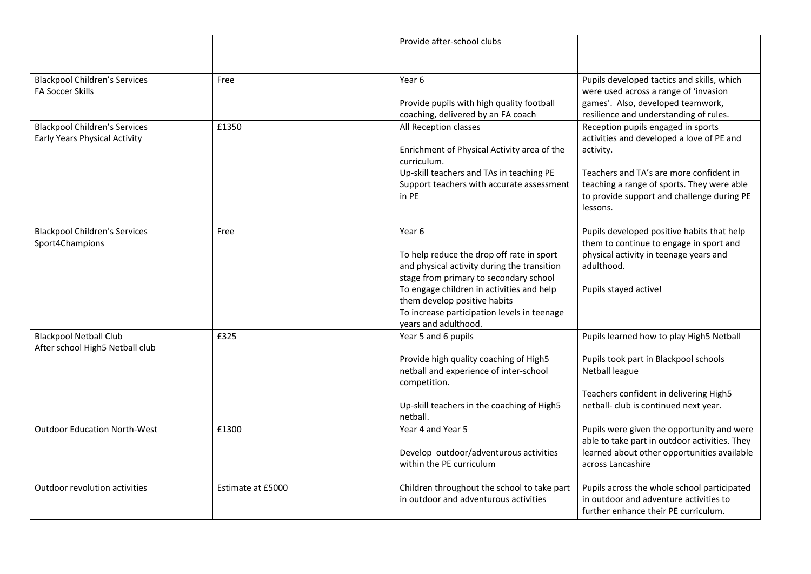|                                                                       |                   | Provide after-school clubs                                                                                                                                                                                                                                                                       |                                                                                                                                                                                                                                                 |
|-----------------------------------------------------------------------|-------------------|--------------------------------------------------------------------------------------------------------------------------------------------------------------------------------------------------------------------------------------------------------------------------------------------------|-------------------------------------------------------------------------------------------------------------------------------------------------------------------------------------------------------------------------------------------------|
| <b>Blackpool Children's Services</b><br><b>FA Soccer Skills</b>       | Free              | Year <sub>6</sub><br>Provide pupils with high quality football<br>coaching, delivered by an FA coach                                                                                                                                                                                             | Pupils developed tactics and skills, which<br>were used across a range of 'invasion<br>games'. Also, developed teamwork,<br>resilience and understanding of rules.                                                                              |
| <b>Blackpool Children's Services</b><br>Early Years Physical Activity | £1350             | All Reception classes<br>Enrichment of Physical Activity area of the<br>curriculum.<br>Up-skill teachers and TAs in teaching PE<br>Support teachers with accurate assessment<br>in PE                                                                                                            | Reception pupils engaged in sports<br>activities and developed a love of PE and<br>activity.<br>Teachers and TA's are more confident in<br>teaching a range of sports. They were able<br>to provide support and challenge during PE<br>lessons. |
| <b>Blackpool Children's Services</b><br>Sport4Champions               | Free              | Year 6<br>To help reduce the drop off rate in sport<br>and physical activity during the transition<br>stage from primary to secondary school<br>To engage children in activities and help<br>them develop positive habits<br>To increase participation levels in teenage<br>years and adulthood. | Pupils developed positive habits that help<br>them to continue to engage in sport and<br>physical activity in teenage years and<br>adulthood.<br>Pupils stayed active!                                                                          |
| <b>Blackpool Netball Club</b><br>After school High5 Netball club      | £325              | Year 5 and 6 pupils<br>Provide high quality coaching of High5<br>netball and experience of inter-school<br>competition.<br>Up-skill teachers in the coaching of High5<br>netball.                                                                                                                | Pupils learned how to play High5 Netball<br>Pupils took part in Blackpool schools<br>Netball league<br>Teachers confident in delivering High5<br>netball- club is continued next year.                                                          |
| <b>Outdoor Education North-West</b>                                   | £1300             | Year 4 and Year 5<br>Develop outdoor/adventurous activities<br>within the PE curriculum                                                                                                                                                                                                          | Pupils were given the opportunity and were<br>able to take part in outdoor activities. They<br>learned about other opportunities available<br>across Lancashire                                                                                 |
| Outdoor revolution activities                                         | Estimate at £5000 | Children throughout the school to take part<br>in outdoor and adventurous activities                                                                                                                                                                                                             | Pupils across the whole school participated<br>in outdoor and adventure activities to<br>further enhance their PE curriculum.                                                                                                                   |